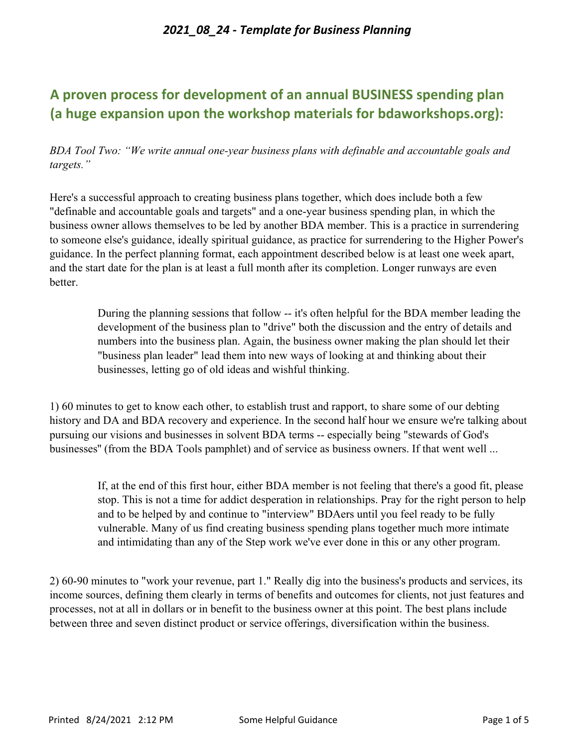# **A proven process for development of an annual BUSINESS spending plan (a huge expansion upon the workshop materials for bdaworkshops.org):**

*BDA Tool Two: "We write annual one-year business plans with definable and accountable goals and targets."*

Here's a successful approach to creating business plans together, which does include both a few "definable and accountable goals and targets" and a one-year business spending plan, in which the business owner allows themselves to be led by another BDA member. This is a practice in surrendering to someone else's guidance, ideally spiritual guidance, as practice for surrendering to the Higher Power's guidance. In the perfect planning format, each appointment described below is at least one week apart, and the start date for the plan is at least a full month after its completion. Longer runways are even better.

> During the planning sessions that follow -- it's often helpful for the BDA member leading the development of the business plan to "drive" both the discussion and the entry of details and numbers into the business plan. Again, the business owner making the plan should let their "business plan leader" lead them into new ways of looking at and thinking about their businesses, letting go of old ideas and wishful thinking.

1) 60 minutes to get to know each other, to establish trust and rapport, to share some of our debting history and DA and BDA recovery and experience. In the second half hour we ensure we're talking about pursuing our visions and businesses in solvent BDA terms -- especially being "stewards of God's businesses'' (from the BDA Tools pamphlet) and of service as business owners. If that went well ...

If, at the end of this first hour, either BDA member is not feeling that there's a good fit, please stop. This is not a time for addict desperation in relationships. Pray for the right person to help and to be helped by and continue to "interview" BDAers until you feel ready to be fully vulnerable. Many of us find creating business spending plans together much more intimate and intimidating than any of the Step work we've ever done in this or any other program.

2) 60-90 minutes to "work your revenue, part 1." Really dig into the business's products and services, its income sources, defining them clearly in terms of benefits and outcomes for clients, not just features and processes, not at all in dollars or in benefit to the business owner at this point. The best plans include between three and seven distinct product or service offerings, diversification within the business.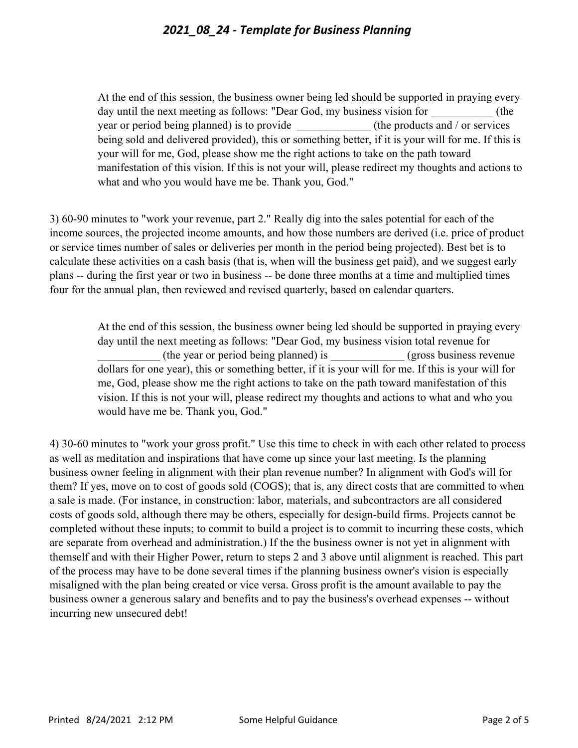At the end of this session, the business owner being led should be supported in praying every day until the next meeting as follows: "Dear God, my business vision for  $($ the year or period being planned) is to provide \_\_\_\_\_\_\_\_\_\_\_\_\_ (the products and / or services being sold and delivered provided), this or something better, if it is your will for me. If this is your will for me, God, please show me the right actions to take on the path toward manifestation of this vision. If this is not your will, please redirect my thoughts and actions to what and who you would have me be. Thank you, God."

3) 60-90 minutes to "work your revenue, part 2." Really dig into the sales potential for each of the income sources, the projected income amounts, and how those numbers are derived (i.e. price of product or service times number of sales or deliveries per month in the period being projected). Best bet is to calculate these activities on a cash basis (that is, when will the business get paid), and we suggest early plans -- during the first year or two in business -- be done three months at a time and multiplied times four for the annual plan, then reviewed and revised quarterly, based on calendar quarters.

At the end of this session, the business owner being led should be supported in praying every day until the next meeting as follows: "Dear God, my business vision total revenue for (the year or period being planned) is (gross business revenue dollars for one year), this or something better, if it is your will for me. If this is your will for me, God, please show me the right actions to take on the path toward manifestation of this vision. If this is not your will, please redirect my thoughts and actions to what and who you would have me be. Thank you, God."

4) 30-60 minutes to "work your gross profit." Use this time to check in with each other related to process as well as meditation and inspirations that have come up since your last meeting. Is the planning business owner feeling in alignment with their plan revenue number? In alignment with God's will for them? If yes, move on to cost of goods sold (COGS); that is, any direct costs that are committed to when a sale is made. (For instance, in construction: labor, materials, and subcontractors are all considered costs of goods sold, although there may be others, especially for design-build firms. Projects cannot be completed without these inputs; to commit to build a project is to commit to incurring these costs, which are separate from overhead and administration.) If the the business owner is not yet in alignment with themself and with their Higher Power, return to steps 2 and 3 above until alignment is reached. This part of the process may have to be done several times if the planning business owner's vision is especially misaligned with the plan being created or vice versa. Gross profit is the amount available to pay the business owner a generous salary and benefits and to pay the business's overhead expenses -- without incurring new unsecured debt!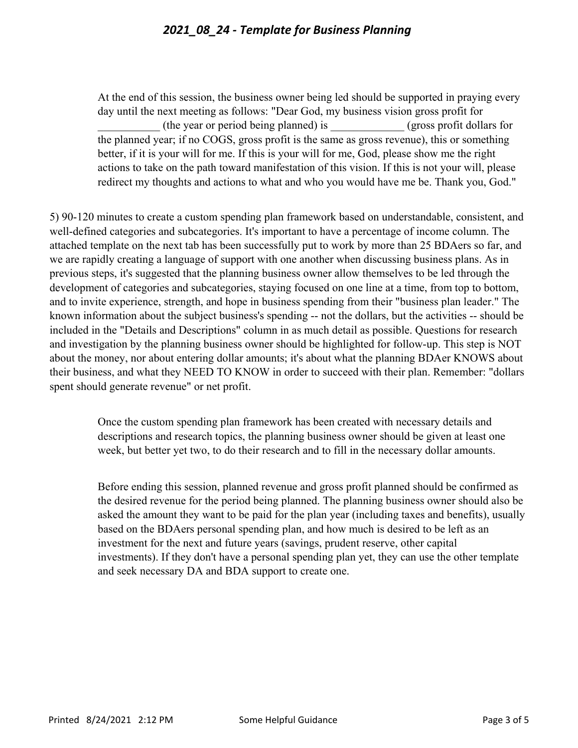At the end of this session, the business owner being led should be supported in praying every day until the next meeting as follows: "Dear God, my business vision gross profit for \_\_\_\_\_\_\_\_\_\_\_ (the year or period being planned) is \_\_\_\_\_\_\_\_\_\_\_\_\_ (gross profit dollars for the planned year; if no COGS, gross profit is the same as gross revenue), this or something better, if it is your will for me. If this is your will for me, God, please show me the right actions to take on the path toward manifestation of this vision. If this is not your will, please redirect my thoughts and actions to what and who you would have me be. Thank you, God."

5) 90-120 minutes to create a custom spending plan framework based on understandable, consistent, and well-defined categories and subcategories. It's important to have a percentage of income column. The attached template on the next tab has been successfully put to work by more than 25 BDAers so far, and we are rapidly creating a language of support with one another when discussing business plans. As in previous steps, it's suggested that the planning business owner allow themselves to be led through the development of categories and subcategories, staying focused on one line at a time, from top to bottom, and to invite experience, strength, and hope in business spending from their "business plan leader." The known information about the subject business's spending -- not the dollars, but the activities -- should be included in the "Details and Descriptions" column in as much detail as possible. Questions for research and investigation by the planning business owner should be highlighted for follow-up. This step is NOT about the money, nor about entering dollar amounts; it's about what the planning BDAer KNOWS about their business, and what they NEED TO KNOW in order to succeed with their plan. Remember: "dollars spent should generate revenue" or net profit.

> Once the custom spending plan framework has been created with necessary details and descriptions and research topics, the planning business owner should be given at least one week, but better yet two, to do their research and to fill in the necessary dollar amounts.

Before ending this session, planned revenue and gross profit planned should be confirmed as the desired revenue for the period being planned. The planning business owner should also be asked the amount they want to be paid for the plan year (including taxes and benefits), usually based on the BDAers personal spending plan, and how much is desired to be left as an investment for the next and future years (savings, prudent reserve, other capital investments). If they don't have a personal spending plan yet, they can use the other template and seek necessary DA and BDA support to create one.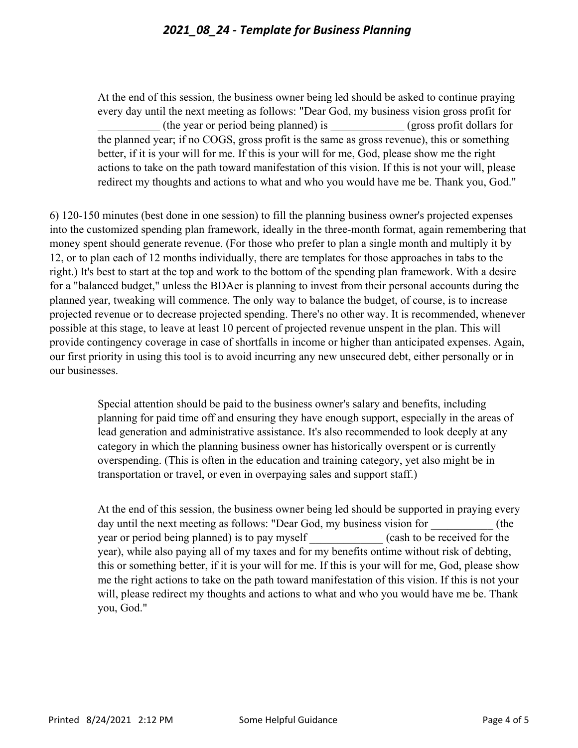At the end of this session, the business owner being led should be asked to continue praying every day until the next meeting as follows: "Dear God, my business vision gross profit for \_\_\_\_\_\_\_\_\_\_\_ (the year or period being planned) is \_\_\_\_\_\_\_\_\_\_\_\_\_ (gross profit dollars for the planned year; if no COGS, gross profit is the same as gross revenue), this or something better, if it is your will for me. If this is your will for me, God, please show me the right actions to take on the path toward manifestation of this vision. If this is not your will, please redirect my thoughts and actions to what and who you would have me be. Thank you, God."

6) 120-150 minutes (best done in one session) to fill the planning business owner's projected expenses into the customized spending plan framework, ideally in the three-month format, again remembering that money spent should generate revenue. (For those who prefer to plan a single month and multiply it by 12, or to plan each of 12 months individually, there are templates for those approaches in tabs to the right.) It's best to start at the top and work to the bottom of the spending plan framework. With a desire for a "balanced budget," unless the BDAer is planning to invest from their personal accounts during the planned year, tweaking will commence. The only way to balance the budget, of course, is to increase projected revenue or to decrease projected spending. There's no other way. It is recommended, whenever possible at this stage, to leave at least 10 percent of projected revenue unspent in the plan. This will provide contingency coverage in case of shortfalls in income or higher than anticipated expenses. Again, our first priority in using this tool is to avoid incurring any new unsecured debt, either personally or in our businesses.

> Special attention should be paid to the business owner's salary and benefits, including planning for paid time off and ensuring they have enough support, especially in the areas of lead generation and administrative assistance. It's also recommended to look deeply at any category in which the planning business owner has historically overspent or is currently overspending. (This is often in the education and training category, yet also might be in transportation or travel, or even in overpaying sales and support staff.)

At the end of this session, the business owner being led should be supported in praying every day until the next meeting as follows: "Dear God, my business vision for  $($ the year or period being planned) is to pay myself (cash to be received for the year), while also paying all of my taxes and for my benefits ontime without risk of debting, this or something better, if it is your will for me. If this is your will for me, God, please show me the right actions to take on the path toward manifestation of this vision. If this is not your will, please redirect my thoughts and actions to what and who you would have me be. Thank you, God."